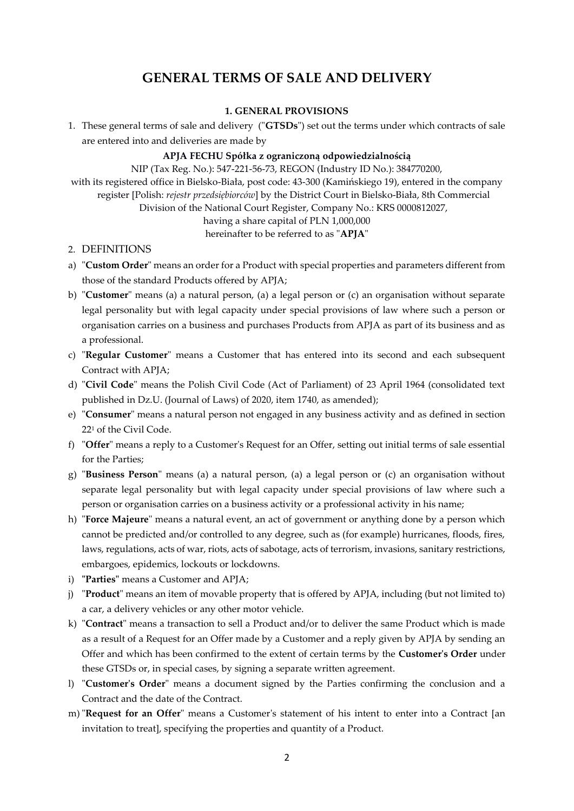# **GENERAL TERMS OF SALE AND DELIVERY**

# **1. GENERAL PROVISIONS**

1. These general terms of sale and delivery ("**GTSDs**") set out the terms under which contracts of sale are entered into and deliveries are made by

# **APJA FECHU Spółka z ograniczoną odpowiedzialnością**

NIP (Tax Reg. No.): 547-221-56-73, REGON (Industry ID No.): 384770200, with its registered office in Bielsko-Biała, post code: 43-300 (Kamińskiego 19), entered in the company register [Polish: *rejestr przedsiębiorców*] by the District Court in Bielsko-Biała, 8th Commercial Division of the National Court Register, Company No.: KRS 0000812027, having a share capital of PLN 1,000,000

# hereinafter to be referred to as "**APJA**"

- 2. DEFINITIONS
- a) "**Custom Order**" means an order for a Product with special properties and parameters different from those of the standard Products offered by APJA;
- b) "**Customer**" means (a) a natural person, (a) a legal person or (c) an organisation without separate legal personality but with legal capacity under special provisions of law where such a person or organisation carries on a business and purchases Products from APJA as part of its business and as a professional.
- c) "**Regular Customer**" means a Customer that has entered into its second and each subsequent Contract with APJA;
- d) "**Civil Code**" means the Polish Civil Code (Act of Parliament) of 23 April 1964 (consolidated text published in Dz.U. (Journal of Laws) of 2020, item 1740, as amended);
- e) "**Consumer**" means a natural person not engaged in any business activity and as defined in section 22<sup>1</sup> of the Civil Code.
- f) "**Offer**" means a reply to a Customer's Request for an Offer, setting out initial terms of sale essential for the Parties;
- g) "**Business Person**" means (a) a natural person, (a) a legal person or (c) an organisation without separate legal personality but with legal capacity under special provisions of law where such a person or organisation carries on a business activity or a professional activity in his name;
- h) "**Force Majeure**" means a natural event, an act of government or anything done by a person which cannot be predicted and/or controlled to any degree, such as (for example) hurricanes, floods, fires, laws, regulations, acts of war, riots, acts of sabotage, acts of terrorism, invasions, sanitary restrictions, embargoes, epidemics, lockouts or lockdowns.
- i) **"Parties"** means a Customer and APJA;
- j) "**Product**" means an item of movable property that is offered by APJA, including (but not limited to) a car, a delivery vehicles or any other motor vehicle.
- k) "**Contract**" means a transaction to sell a Product and/or to deliver the same Product which is made as a result of a Request for an Offer made by a Customer and a reply given by APJA by sending an Offer and which has been confirmed to the extent of certain terms by the **Customer's Order** under these GTSDs or, in special cases, by signing a separate written agreement.
- l) "**Customer's Order**" means a document signed by the Parties confirming the conclusion and a Contract and the date of the Contract.
- m) "**Request for an Offer**" means a Customer's statement of his intent to enter into a Contract [an invitation to treat], specifying the properties and quantity of a Product.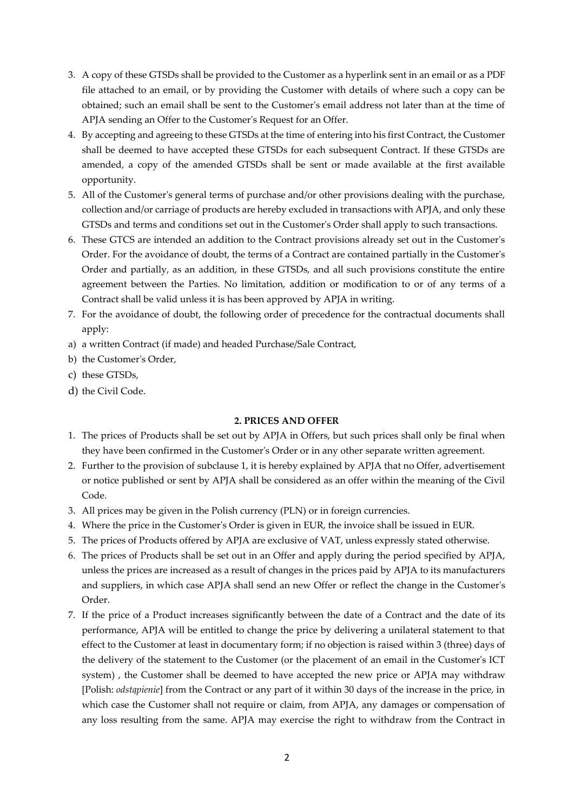- 3. A copy of these GTSDs shall be provided to the Customer as a hyperlink sent in an email or as a PDF file attached to an email, or by providing the Customer with details of where such a copy can be obtained; such an email shall be sent to the Customer's email address not later than at the time of APJA sending an Offer to the Customer's Request for an Offer.
- 4. By accepting and agreeing to these GTSDs at the time of entering into his first Contract, the Customer shall be deemed to have accepted these GTSDs for each subsequent Contract. If these GTSDs are amended, a copy of the amended GTSDs shall be sent or made available at the first available opportunity.
- 5. All of the Customer's general terms of purchase and/or other provisions dealing with the purchase, collection and/or carriage of products are hereby excluded in transactions with APJA, and only these GTSDs and terms and conditions set out in the Customer's Order shall apply to such transactions.
- 6. These GTCS are intended an addition to the Contract provisions already set out in the Customer's Order. For the avoidance of doubt, the terms of a Contract are contained partially in the Customer's Order and partially, as an addition, in these GTSDs, and all such provisions constitute the entire agreement between the Parties. No limitation, addition or modification to or of any terms of a Contract shall be valid unless it is has been approved by APJA in writing.
- 7. For the avoidance of doubt, the following order of precedence for the contractual documents shall apply:
- a) a written Contract (if made) and headed Purchase/Sale Contract,
- b) the Customer's Order,
- c) these GTSDs,
- d) the Civil Code.

# **2. PRICES AND OFFER**

- 1. The prices of Products shall be set out by APJA in Offers, but such prices shall only be final when they have been confirmed in the Customer's Order or in any other separate written agreement.
- 2. Further to the provision of subclause 1, it is hereby explained by APJA that no Offer, advertisement or notice published or sent by APJA shall be considered as an offer within the meaning of the Civil Code.
- 3. All prices may be given in the Polish currency (PLN) or in foreign currencies.
- 4. Where the price in the Customer's Order is given in EUR, the invoice shall be issued in EUR.
- 5. The prices of Products offered by APJA are exclusive of VAT, unless expressly stated otherwise.
- 6. The prices of Products shall be set out in an Offer and apply during the period specified by APJA, unless the prices are increased as a result of changes in the prices paid by APJA to its manufacturers and suppliers, in which case APJA shall send an new Offer or reflect the change in the Customer's Order.
- 7. If the price of a Product increases significantly between the date of a Contract and the date of its performance, APJA will be entitled to change the price by delivering a unilateral statement to that effect to the Customer at least in documentary form; if no objection is raised within 3 (three) days of the delivery of the statement to the Customer (or the placement of an email in the Customer's ICT system) , the Customer shall be deemed to have accepted the new price or APJA may withdraw [Polish: *odstąpienie*] from the Contract or any part of it within 30 days of the increase in the price, in which case the Customer shall not require or claim, from APJA, any damages or compensation of any loss resulting from the same. APJA may exercise the right to withdraw from the Contract in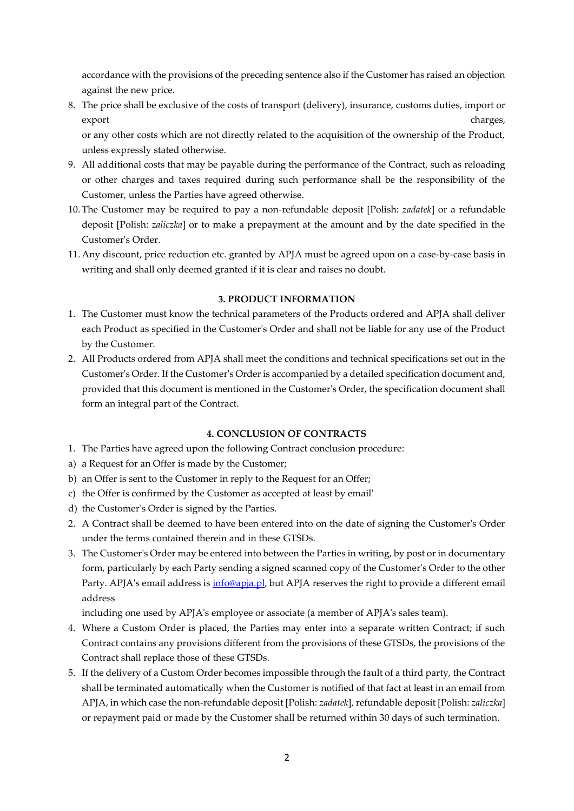accordance with the provisions of the preceding sentence also if the Customer has raised an objection against the new price.

8. The price shall be exclusive of the costs of transport (delivery), insurance, customs duties, import or export the charges, the charges of the charges, the charges, the charges, the charges, the charges, the charges

or any other costs which are not directly related to the acquisition of the ownership of the Product, unless expressly stated otherwise.

- 9. All additional costs that may be payable during the performance of the Contract, such as reloading or other charges and taxes required during such performance shall be the responsibility of the Customer, unless the Parties have agreed otherwise.
- 10. The Customer may be required to pay a non-refundable deposit [Polish: *zadatek*] or a refundable deposit [Polish: *zaliczka*] or to make a prepayment at the amount and by the date specified in the Customer's Order.
- 11. Any discount, price reduction etc. granted by APJA must be agreed upon on a case-by-case basis in writing and shall only deemed granted if it is clear and raises no doubt.

# **3. PRODUCT INFORMATION**

- 1. The Customer must know the technical parameters of the Products ordered and APJA shall deliver each Product as specified in the Customer's Order and shall not be liable for any use of the Product by the Customer.
- 2. All Products ordered from APJA shall meet the conditions and technical specifications set out in the Customer's Order. If the Customer's Order is accompanied by a detailed specification document and, provided that this document is mentioned in the Customer's Order, the specification document shall form an integral part of the Contract.

# **4. CONCLUSION OF CONTRACTS**

- 1. The Parties have agreed upon the following Contract conclusion procedure:
- a) a Request for an Offer is made by the Customer;
- b) an Offer is sent to the Customer in reply to the Request for an Offer;
- c) the Offer is confirmed by the Customer as accepted at least by email'
- d) the Customer's Order is signed by the Parties.
- 2. A Contract shall be deemed to have been entered into on the date of signing the Customer's Order under the terms contained therein and in these GTSDs.
- 3. The Customer's Order may be entered into between the Parties in writing, by post or in documentary form, particularly by each Party sending a signed scanned copy of the Customer's Order to the other Party. APJA's email address is *info@apja.pl*, but APJA reserves the right to provide a different email address

including one used by APJA's employee or associate (a member of APJA's sales team).

- 4. Where a Custom Order is placed, the Parties may enter into a separate written Contract; if such Contract contains any provisions different from the provisions of these GTSDs, the provisions of the Contract shall replace those of these GTSDs.
- 5. If the delivery of a Custom Order becomes impossible through the fault of a third party, the Contract shall be terminated automatically when the Customer is notified of that fact at least in an email from APJA, in which case the non-refundable deposit [Polish: *zadatek*], refundable deposit [Polish: *zaliczka*] or repayment paid or made by the Customer shall be returned within 30 days of such termination.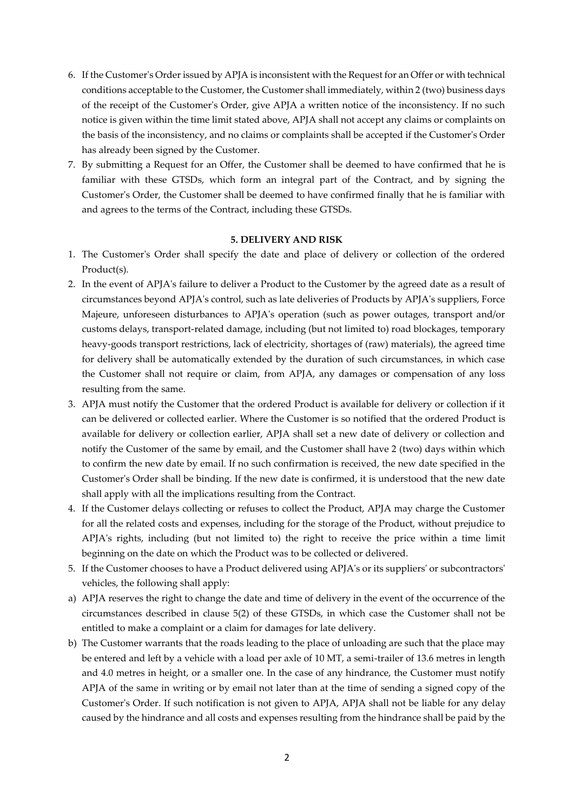- 6. If the Customer's Order issued by APJA is inconsistent with the Request for an Offer or with technical conditions acceptable to the Customer, the Customer shall immediately, within 2 (two) business days of the receipt of the Customer's Order, give APJA a written notice of the inconsistency. If no such notice is given within the time limit stated above, APJA shall not accept any claims or complaints on the basis of the inconsistency, and no claims or complaints shall be accepted if the Customer's Order has already been signed by the Customer.
- 7. By submitting a Request for an Offer, the Customer shall be deemed to have confirmed that he is familiar with these GTSDs, which form an integral part of the Contract, and by signing the Customer's Order, the Customer shall be deemed to have confirmed finally that he is familiar with and agrees to the terms of the Contract, including these GTSDs.

# **5. DELIVERY AND RISK**

- 1. The Customer's Order shall specify the date and place of delivery or collection of the ordered Product(s).
- 2. In the event of APJA's failure to deliver a Product to the Customer by the agreed date as a result of circumstances beyond APJA's control, such as late deliveries of Products by APJA's suppliers, Force Majeure, unforeseen disturbances to APJA's operation (such as power outages, transport and/or customs delays, transport-related damage, including (but not limited to) road blockages, temporary heavy-goods transport restrictions, lack of electricity, shortages of (raw) materials), the agreed time for delivery shall be automatically extended by the duration of such circumstances, in which case the Customer shall not require or claim, from APJA, any damages or compensation of any loss resulting from the same.
- 3. APJA must notify the Customer that the ordered Product is available for delivery or collection if it can be delivered or collected earlier. Where the Customer is so notified that the ordered Product is available for delivery or collection earlier, APJA shall set a new date of delivery or collection and notify the Customer of the same by email, and the Customer shall have 2 (two) days within which to confirm the new date by email. If no such confirmation is received, the new date specified in the Customer's Order shall be binding. If the new date is confirmed, it is understood that the new date shall apply with all the implications resulting from the Contract.
- 4. If the Customer delays collecting or refuses to collect the Product, APJA may charge the Customer for all the related costs and expenses, including for the storage of the Product, without prejudice to APJA's rights, including (but not limited to) the right to receive the price within a time limit beginning on the date on which the Product was to be collected or delivered.
- 5. If the Customer chooses to have a Product delivered using APJA's or its suppliers' or subcontractors' vehicles, the following shall apply:
- a) APJA reserves the right to change the date and time of delivery in the event of the occurrence of the circumstances described in clause 5(2) of these GTSDs, in which case the Customer shall not be entitled to make a complaint or a claim for damages for late delivery.
- b) The Customer warrants that the roads leading to the place of unloading are such that the place may be entered and left by a vehicle with a load per axle of 10 MT, a semi-trailer of 13.6 metres in length and 4.0 metres in height, or a smaller one. In the case of any hindrance, the Customer must notify APJA of the same in writing or by email not later than at the time of sending a signed copy of the Customer's Order. If such notification is not given to APJA, APJA shall not be liable for any delay caused by the hindrance and all costs and expenses resulting from the hindrance shall be paid by the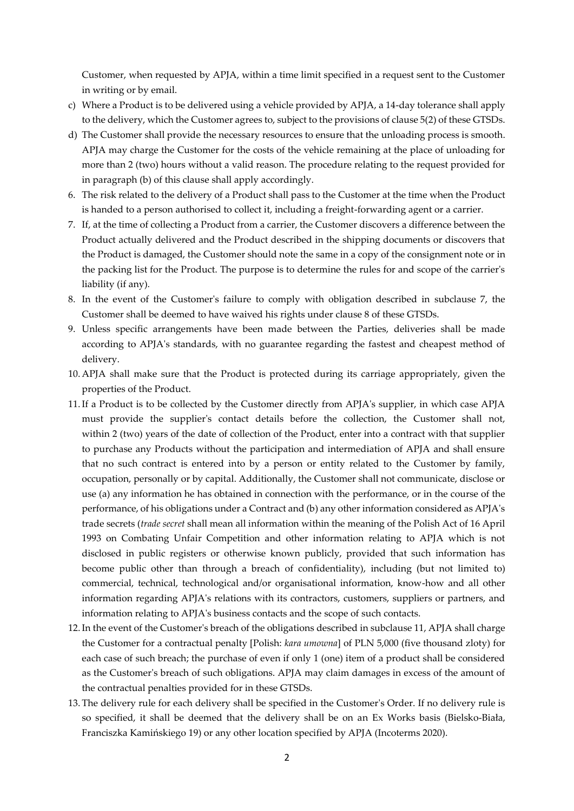Customer, when requested by APJA, within a time limit specified in a request sent to the Customer in writing or by email.

- c) Where a Product is to be delivered using a vehicle provided by APJA, a 14-day tolerance shall apply to the delivery, which the Customer agrees to, subject to the provisions of clause 5(2) of these GTSDs.
- d) The Customer shall provide the necessary resources to ensure that the unloading process is smooth. APJA may charge the Customer for the costs of the vehicle remaining at the place of unloading for more than 2 (two) hours without a valid reason. The procedure relating to the request provided for in paragraph (b) of this clause shall apply accordingly.
- 6. The risk related to the delivery of a Product shall pass to the Customer at the time when the Product is handed to a person authorised to collect it, including a freight-forwarding agent or a carrier.
- 7. If, at the time of collecting a Product from a carrier, the Customer discovers a difference between the Product actually delivered and the Product described in the shipping documents or discovers that the Product is damaged, the Customer should note the same in a copy of the consignment note or in the packing list for the Product. The purpose is to determine the rules for and scope of the carrier's liability (if any).
- 8. In the event of the Customer's failure to comply with obligation described in subclause 7, the Customer shall be deemed to have waived his rights under clause 8 of these GTSDs.
- 9. Unless specific arrangements have been made between the Parties, deliveries shall be made according to APJA's standards, with no guarantee regarding the fastest and cheapest method of delivery.
- 10. APJA shall make sure that the Product is protected during its carriage appropriately, given the properties of the Product.
- 11.If a Product is to be collected by the Customer directly from APJA's supplier, in which case APJA must provide the supplier's contact details before the collection, the Customer shall not, within 2 (two) years of the date of collection of the Product, enter into a contract with that supplier to purchase any Products without the participation and intermediation of APJA and shall ensure that no such contract is entered into by a person or entity related to the Customer by family, occupation, personally or by capital. Additionally, the Customer shall not communicate, disclose or use (a) any information he has obtained in connection with the performance, or in the course of the performance, of his obligations under a Contract and (b) any other information considered as APJA's trade secrets (*trade secret* shall mean all information within the meaning of the Polish Act of 16 April 1993 on Combating Unfair Competition and other information relating to APJA which is not disclosed in public registers or otherwise known publicly, provided that such information has become public other than through a breach of confidentiality), including (but not limited to) commercial, technical, technological and/or organisational information, know-how and all other information regarding APJA's relations with its contractors, customers, suppliers or partners, and information relating to APJA's business contacts and the scope of such contacts.
- 12.In the event of the Customer's breach of the obligations described in subclause 11, APJA shall charge the Customer for a contractual penalty [Polish: *kara umowna*] of PLN 5,000 (five thousand zloty) for each case of such breach; the purchase of even if only 1 (one) item of a product shall be considered as the Customer's breach of such obligations. APJA may claim damages in excess of the amount of the contractual penalties provided for in these GTSDs.
- 13. The delivery rule for each delivery shall be specified in the Customer's Order. If no delivery rule is so specified, it shall be deemed that the delivery shall be on an Ex Works basis (Bielsko-Biała, Franciszka Kamińskiego 19) or any other location specified by APJA (Incoterms 2020).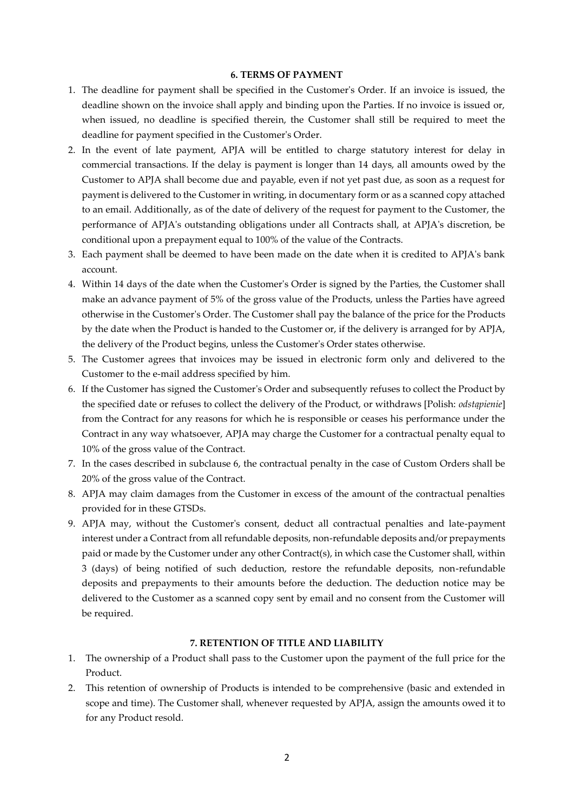### **6. TERMS OF PAYMENT**

- 1. The deadline for payment shall be specified in the Customer's Order. If an invoice is issued, the deadline shown on the invoice shall apply and binding upon the Parties. If no invoice is issued or, when issued, no deadline is specified therein, the Customer shall still be required to meet the deadline for payment specified in the Customer's Order.
- 2. In the event of late payment, APJA will be entitled to charge statutory interest for delay in commercial transactions. If the delay is payment is longer than 14 days, all amounts owed by the Customer to APJA shall become due and payable, even if not yet past due, as soon as a request for payment is delivered to the Customer in writing, in documentary form or as a scanned copy attached to an email. Additionally, as of the date of delivery of the request for payment to the Customer, the performance of APJA's outstanding obligations under all Contracts shall, at APJA's discretion, be conditional upon a prepayment equal to 100% of the value of the Contracts.
- 3. Each payment shall be deemed to have been made on the date when it is credited to APJA's bank account.
- 4. Within 14 days of the date when the Customer's Order is signed by the Parties, the Customer shall make an advance payment of 5% of the gross value of the Products, unless the Parties have agreed otherwise in the Customer's Order. The Customer shall pay the balance of the price for the Products by the date when the Product is handed to the Customer or, if the delivery is arranged for by APJA, the delivery of the Product begins, unless the Customer's Order states otherwise.
- 5. The Customer agrees that invoices may be issued in electronic form only and delivered to the Customer to the e-mail address specified by him.
- 6. If the Customer has signed the Customer's Order and subsequently refuses to collect the Product by the specified date or refuses to collect the delivery of the Product, or withdraws [Polish: *odstąpienie*] from the Contract for any reasons for which he is responsible or ceases his performance under the Contract in any way whatsoever, APJA may charge the Customer for a contractual penalty equal to 10% of the gross value of the Contract.
- 7. In the cases described in subclause 6, the contractual penalty in the case of Custom Orders shall be 20% of the gross value of the Contract.
- 8. APJA may claim damages from the Customer in excess of the amount of the contractual penalties provided for in these GTSDs.
- 9. APJA may, without the Customer's consent, deduct all contractual penalties and late-payment interest under a Contract from all refundable deposits, non-refundable deposits and/or prepayments paid or made by the Customer under any other Contract(s), in which case the Customer shall, within 3 (days) of being notified of such deduction, restore the refundable deposits, non-refundable deposits and prepayments to their amounts before the deduction. The deduction notice may be delivered to the Customer as a scanned copy sent by email and no consent from the Customer will be required.

#### **7. RETENTION OF TITLE AND LIABILITY**

- 1. The ownership of a Product shall pass to the Customer upon the payment of the full price for the Product.
- 2. This retention of ownership of Products is intended to be comprehensive (basic and extended in scope and time). The Customer shall, whenever requested by APJA, assign the amounts owed it to for any Product resold.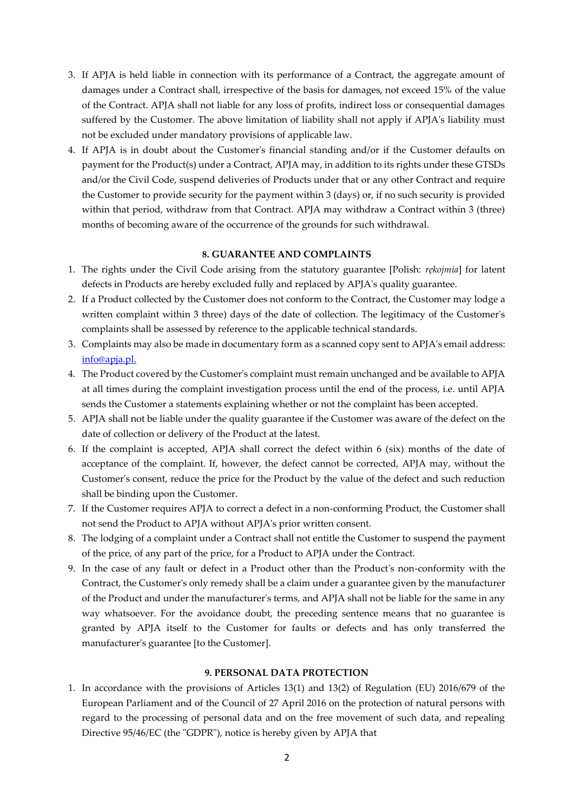- 3. If APJA is held liable in connection with its performance of a Contract, the aggregate amount of damages under a Contract shall, irrespective of the basis for damages, not exceed 15% of the value of the Contract. APJA shall not liable for any loss of profits, indirect loss or consequential damages suffered by the Customer. The above limitation of liability shall not apply if APJA's liability must not be excluded under mandatory provisions of applicable law.
- 4. If APJA is in doubt about the Customer's financial standing and/or if the Customer defaults on payment for the Product(s) under a Contract, APJA may, in addition to its rights under these GTSDs and/or the Civil Code, suspend deliveries of Products under that or any other Contract and require the Customer to provide security for the payment within 3 (days) or, if no such security is provided within that period, withdraw from that Contract. APJA may withdraw a Contract within 3 (three) months of becoming aware of the occurrence of the grounds for such withdrawal.

### **8. GUARANTEE AND COMPLAINTS**

- 1. The rights under the Civil Code arising from the statutory guarantee [Polish: *rękojmia*] for latent defects in Products are hereby excluded fully and replaced by APJA's quality guarantee.
- 2. If a Product collected by the Customer does not conform to the Contract, the Customer may lodge a written complaint within 3 three) days of the date of collection. The legitimacy of the Customer's complaints shall be assessed by reference to the applicable technical standards.
- 3. Complaints may also be made in documentary form as a scanned copy sent to APJA's email address: [info@apja.pl.](about:blank)
- 4. The Product covered by the Customer's complaint must remain unchanged and be available to APJA at all times during the complaint investigation process until the end of the process, i.e. until APJA sends the Customer a statements explaining whether or not the complaint has been accepted.
- 5. APJA shall not be liable under the quality guarantee if the Customer was aware of the defect on the date of collection or delivery of the Product at the latest.
- 6. If the complaint is accepted, APJA shall correct the defect within 6 (six) months of the date of acceptance of the complaint. If, however, the defect cannot be corrected, APJA may, without the Customer's consent, reduce the price for the Product by the value of the defect and such reduction shall be binding upon the Customer.
- 7. If the Customer requires APJA to correct a defect in a non-conforming Product, the Customer shall not send the Product to APJA without APJA's prior written consent.
- 8. The lodging of a complaint under a Contract shall not entitle the Customer to suspend the payment of the price, of any part of the price, for a Product to APJA under the Contract.
- 9. In the case of any fault or defect in a Product other than the Product's non-conformity with the Contract, the Customer's only remedy shall be a claim under a guarantee given by the manufacturer of the Product and under the manufacturer's terms, and APJA shall not be liable for the same in any way whatsoever. For the avoidance doubt, the preceding sentence means that no guarantee is granted by APJA itself to the Customer for faults or defects and has only transferred the manufacturer's guarantee [to the Customer].

#### **9. PERSONAL DATA PROTECTION**

1. In accordance with the provisions of Articles 13(1) and 13(2) of Regulation (EU) 2016/679 of the European Parliament and of the Council of 27 April 2016 on the protection of natural persons with regard to the processing of personal data and on the free movement of such data, and repealing Directive 95/46/EC (the "GDPR"), notice is hereby given by APJA that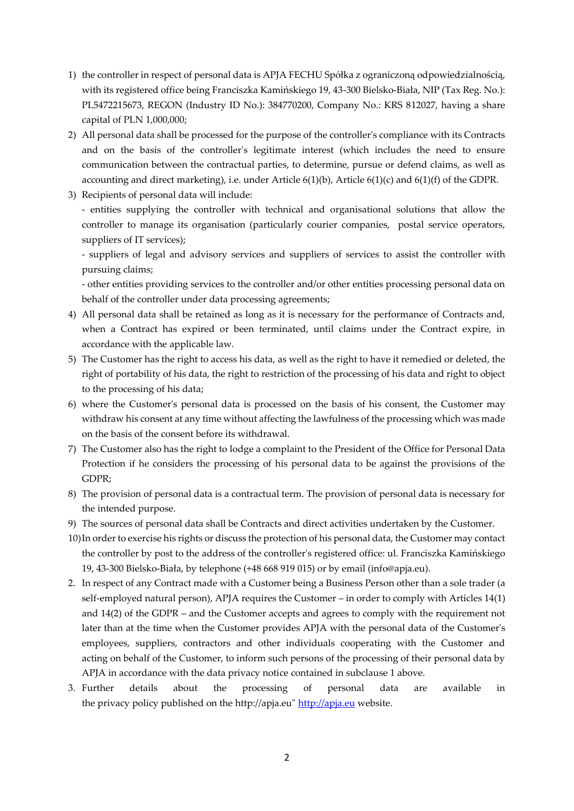- 1) the controller in respect of personal data is APJA FECHU Spółka z ograniczoną odpowiedzialnością, with its registered office being Franciszka Kamińskiego 19, 43-300 Bielsko-Biała, NIP (Tax Reg. No.): PL5472215673, REGON (Industry ID No.): 384770200, Company No.: KRS 812027, having a share capital of PLN 1,000,000;
- 2) All personal data shall be processed for the purpose of the controller's compliance with its Contracts and on the basis of the controller's legitimate interest (which includes the need to ensure communication between the contractual parties, to determine, pursue or defend claims, as well as accounting and direct marketing), i.e. under Article  $6(1)(b)$ , Article  $6(1)(c)$  and  $6(1)(f)$  of the GDPR.
- 3) Recipients of personal data will include:

- entities supplying the controller with technical and organisational solutions that allow the controller to manage its organisation (particularly courier companies, postal service operators, suppliers of IT services);

- suppliers of legal and advisory services and suppliers of services to assist the controller with pursuing claims;

- other entities providing services to the controller and/or other entities processing personal data on behalf of the controller under data processing agreements;

- 4) All personal data shall be retained as long as it is necessary for the performance of Contracts and, when a Contract has expired or been terminated, until claims under the Contract expire, in accordance with the applicable law.
- 5) The Customer has the right to access his data, as well as the right to have it remedied or deleted, the right of portability of his data, the right to restriction of the processing of his data and right to object to the processing of his data;
- 6) where the Customer's personal data is processed on the basis of his consent, the Customer may withdraw his consent at any time without affecting the lawfulness of the processing which was made on the basis of the consent before its withdrawal.
- 7) The Customer also has the right to lodge a complaint to the President of the Office for Personal Data Protection if he considers the processing of his personal data to be against the provisions of the GDPR;
- 8) The provision of personal data is a contractual term. The provision of personal data is necessary for the intended purpose.
- 9) The sources of personal data shall be Contracts and direct activities undertaken by the Customer.
- 10)In order to exercise his rights or discuss the protection of his personal data, the Customer may contact the controller by post to the address of the controller's registered office: ul. Franciszka Kamińskiego 19, 43-300 Bielsko-Biała, by telephone (+48 668 919 015) or by email (info@apja.eu).
- 2. In respect of any Contract made with a Customer being a Business Person other than a sole trader (a self-employed natural person), APJA requires the Customer – in order to comply with Articles 14(1) and 14(2) of the GDPR – and the Customer accepts and agrees to comply with the requirement not later than at the time when the Customer provides APJA with the personal data of the Customer's employees, suppliers, contractors and other individuals cooperating with the Customer and acting on behalf of the Customer, to inform such persons of the processing of their personal data by APJA in accordance with the data privacy notice contained in subclause 1 above.
- 3. Further details about the processing of personal data are available in the privacy policy published on the http://apja.eu" http://apja.eu website.